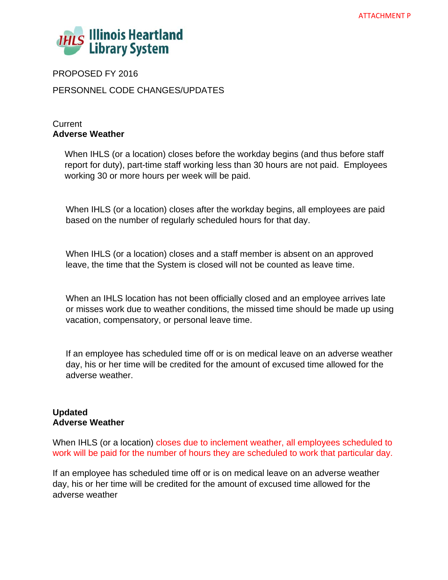

PROPOSED FY 2016

PERSONNEL CODE CHANGES/UPDATES

# **Current Adverse Weather**

When IHLS (or a location) closes before the workday begins (and thus before staff report for duty), part-time staff working less than 30 hours are not paid. Employees working 30 or more hours per week will be paid.

When IHLS (or a location) closes after the workday begins, all employees are paid based on the number of regularly scheduled hours for that day.

When IHLS (or a location) closes and a staff member is absent on an approved leave, the time that the System is closed will not be counted as leave time.

When an IHLS location has not been officially closed and an employee arrives late or misses work due to weather conditions, the missed time should be made up using vacation, compensatory, or personal leave time.

If an employee has scheduled time off or is on medical leave on an adverse weather day, his or her time will be credited for the amount of excused time allowed for the adverse weather.

# **Updated Adverse Weather**

When IHLS (or a location) closes due to inclement weather, all employees scheduled to work will be paid for the number of hours they are scheduled to work that particular day.

If an employee has scheduled time off or is on medical leave on an adverse weather day, his or her time will be credited for the amount of excused time allowed for the adverse weather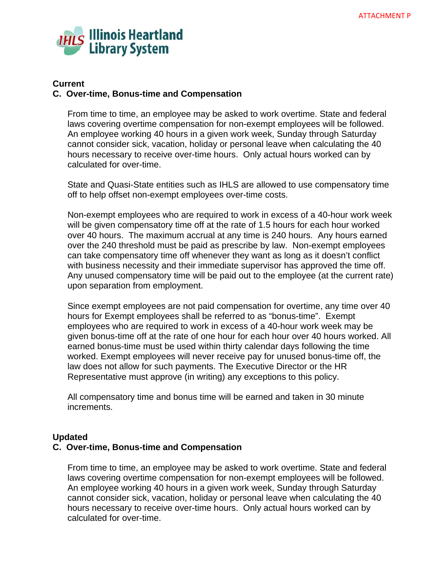

## **Current**

### **C. Over-time, Bonus-time and Compensation**

From time to time, an employee may be asked to work overtime. State and federal laws covering overtime compensation for non-exempt employees will be followed. An employee working 40 hours in a given work week, Sunday through Saturday cannot consider sick, vacation, holiday or personal leave when calculating the 40 hours necessary to receive over-time hours. Only actual hours worked can by calculated for over-time.

State and Quasi-State entities such as IHLS are allowed to use compensatory time off to help offset non-exempt employees over-time costs.

Non-exempt employees who are required to work in excess of a 40-hour work week will be given compensatory time off at the rate of 1.5 hours for each hour worked over 40 hours. The maximum accrual at any time is 240 hours. Any hours earned over the 240 threshold must be paid as prescribe by law. Non-exempt employees can take compensatory time off whenever they want as long as it doesn't conflict with business necessity and their immediate supervisor has approved the time off. Any unused compensatory time will be paid out to the employee (at the current rate) upon separation from employment.

Since exempt employees are not paid compensation for overtime, any time over 40 hours for Exempt employees shall be referred to as "bonus-time". Exempt employees who are required to work in excess of a 40-hour work week may be given bonus-time off at the rate of one hour for each hour over 40 hours worked. All earned bonus-time must be used within thirty calendar days following the time worked. Exempt employees will never receive pay for unused bonus-time off, the law does not allow for such payments. The Executive Director or the HR Representative must approve (in writing) any exceptions to this policy.

All compensatory time and bonus time will be earned and taken in 30 minute increments.

### **Updated**

### **C. Over-time, Bonus-time and Compensation**

From time to time, an employee may be asked to work overtime. State and federal laws covering overtime compensation for non-exempt employees will be followed. An employee working 40 hours in a given work week, Sunday through Saturday cannot consider sick, vacation, holiday or personal leave when calculating the 40 hours necessary to receive over-time hours. Only actual hours worked can by calculated for over-time.